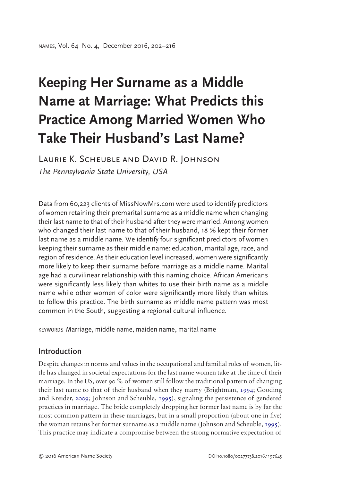# **Keeping Her Surname as a Middle Name at Marriage: What Predicts this Practice Among Married Women Who Take Their Husband's Last Name?**

Laurie K. Scheuble and David R. Johnson *The Pennsylvania State University, USA*

Data from 60,223 clients of MissNowMrs.com were used to identify predictors of women retaining their premarital surname as a middle name when changing their last name to that of their husband after they were married. Among women who changed their last name to that of their husband, 18 % kept their former last name as a middle name. We identify four significant predictors of women keeping their surname as their middle name: education, marital age, race, and region of residence. As their education level increased, women were significantly more likely to keep their surname before marriage as a middle name. Marital age had a curvilinear relationship with this naming choice. African Americans were significantly less likely than whites to use their birth name as a middle name while other women of color were significantly more likely than whites to follow this practice. The birth surname as middle name pattern was most common in the South, suggesting a regional cultural influence.

KEYWORDS Marriage, middle name, maiden name, marital name

# Introduction

<span id="page-0-2"></span><span id="page-0-1"></span><span id="page-0-0"></span>Despite changes in norms and values in the occupational and familial roles of women, little has changed in societal expectations for the last name women take at the time of their marriage. In the US, over 90 % of women still follow the traditional pattern of changing their last name to that of their husband when they marry (Brightman, [1994](#page-12-0); Gooding and Kreider, [2009;](#page-12-1) Johnson and Scheuble, [1995\)](#page-12-2), signaling the persistence of gendered practices in marriage. The bride completely dropping her former last name is by far the most common pattern in these marriages, but in a small proportion (about one in five) the woman retains her former surname as a middle name (Johnson and Scheuble, [1995](#page-12-2)). This practice may indicate a compromise between the strong normative expectation of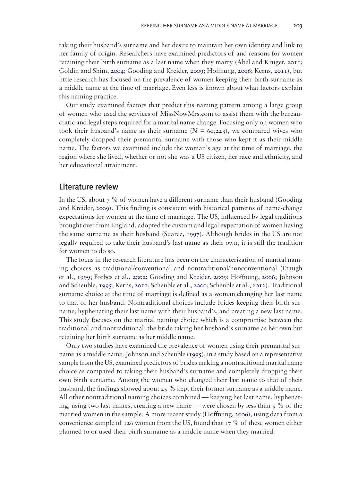<span id="page-1-5"></span><span id="page-1-4"></span><span id="page-1-3"></span><span id="page-1-0"></span>taking their husband's surname and her desire to maintain her own identity and link to her family of origin. Researchers have examined predictors of and reasons for women retaining their birth surname as a last name when they marry (Abel and Kruger, [2011](#page-12-3); Goldin and Shim, [2004](#page-12-4); Gooding and Kreider, [2009](#page-12-1); Hoffnung, [2006](#page-12-5); Kerns, [2011](#page-12-6)), but little research has focused on the prevalence of women keeping their birth surname as a middle name at the time of marriage. Even less is known about what factors explain this naming practice.

Our study examined factors that predict this naming pattern among a large group of women who used the services of MissNowMrs.com to assist them with the bureaucratic and legal steps required for a marital name change. Focusing only on women who took their husband's name as their surname  $(N = 60,223)$ , we compared wives who completely dropped their premarital surname with those who kept it as their middle name. The factors we examined include the woman's age at the time of marriage, the region where she lived, whether or not she was a US citizen, her race and ethnicity, and her educational attainment.

## Literature review

In the US, about 7 % of women have a different surname than their husband (Gooding and Kreider, [2009](#page-12-1)). This finding is consistent with historical patterns of name-change expectations for women at the time of marriage. The US, influenced by legal traditions brought over from England, adopted the custom and legal expectation of women having the same surname as their husband (Suarez, [1997](#page-13-0)). Although brides in the US are not legally required to take their husband's last name as their own, it is still the tradition for women to do so.

<span id="page-1-8"></span><span id="page-1-7"></span><span id="page-1-6"></span><span id="page-1-2"></span><span id="page-1-1"></span>The focus in the research literature has been on the characterization of marital naming choices as traditional/conventional and nontraditional/nonconventional (Etaugh et al., [1999](#page-12-7); Forbes et al., [2002](#page-12-8); Gooding and Kreider, [2009](#page-12-1); Hoffnung, [2006](#page-12-5); Johnson and Scheuble, [1995;](#page-12-2) Kerns, [2011](#page-12-6); Scheuble et al., [2000;](#page-13-1) Scheuble et al., [2012](#page-12-9)). Traditional surname choice at the time of marriage is defined as a woman changing her last name to that of her husband. Nontraditional choices include brides keeping their birth surname, hyphenating their last name with their husband's, and creating a new last name. This study focuses on the marital naming choice which is a compromise between the traditional and nontraditional: the bride taking her husband's surname as her own but retaining her birth surname as her middle name.

Only two studies have examined the prevalence of women using their premarital surname as a middle name. Johnson and Scheuble ([1995](#page-12-2)), in a study based on a representative sample from the US, examined predictors of brides making a nontraditional marital name choice as compared to taking their husband's surname and completely dropping their own birth surname. Among the women who changed their last name to that of their husband, the findings showed about 25 % kept their former surname as a middle name. All other nontraditional naming choices combined — keeping her last name, hyphenating, using two last names, creating a new name — were chosen by less than 5 % of the married women in the sample. A more recent study (Hoffnung, [2006](#page-12-5)), using data from a convenience sample of  $126$  women from the US, found that  $17\%$  of these women either planned to or used their birth surname as a middle name when they married.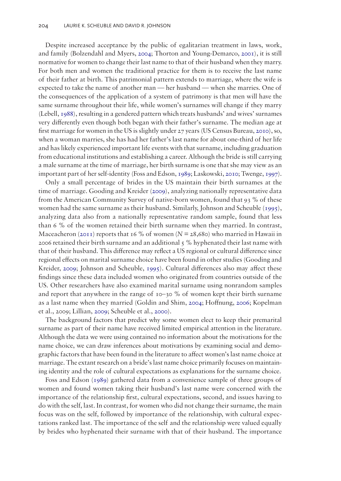<span id="page-2-5"></span><span id="page-2-3"></span><span id="page-2-0"></span>Despite increased acceptance by the public of egalitarian treatment in laws, work, and family (Bolzendahl and Myers, [2004;](#page-12-10) Thorton and Young-Demarco, [2001\)](#page-13-2), it is still normative for women to change their last name to that of their husband when they marry. For both men and women the traditional practice for them is to receive the last name of their father at birth. This patrimonial pattern extends to marriage, where the wife is expected to take the name of another man — her husband — when she marries. One of the consequences of the application of a system of patrimony is that men will have the same surname throughout their life, while women's surnames will change if they marry (Lebell, [1988\)](#page-12-11), resulting in a gendered pattern which treats husbands' and wives' surnames very differently even though both began with their father's surname. The median age at first marriage for women in the US is slightly under 27 years (US Census Bureau, [2010](#page-13-3)), so, when a woman marries, she has had her father's last name for about one-third of her life and has likely experienced important life events with that surname, including graduation from educational institutions and establishing a career. Although the bride is still carrying a male surname at the time of marriage, her birth surname is one that she may view as an important part of her self-identity (Foss and Edson, [1989](#page-12-4); Laskowski, [2010](#page-12-12); Twenge, [1997](#page-13-4)).

<span id="page-2-7"></span><span id="page-2-6"></span><span id="page-2-4"></span><span id="page-2-2"></span>Only a small percentage of brides in the US maintain their birth surnames at the time of marriage. Gooding and Kreider [\(2009](#page-12-1)), analyzing nationally representative data from the American Community Survey of native-born women, found that 93 % of these women had the same surname as their husband. Similarly, Johnson and Scheuble [\(1995](#page-12-2)), analyzing data also from a nationally representative random sample, found that less than 6 % of the women retained their birth surname when they married. In contrast, Maceacheron [\(2011](#page-12-13)) reports that 16 % of women ( $N = 28,680$ ) who married in Hawaii in 2006 retained their birth surname and an additional  $\zeta$ % hyphenated their last name with that of their husband. This difference may reflect a US regional or cultural difference since regional effects on marital surname choice have been found in other studies (Gooding and Kreider, [2009;](#page-12-1) Johnson and Scheuble, [1995](#page-12-2)). Cultural differences also may affect these findings since these data included women who originated from countries outside of the US. Other researchers have also examined marital surname using nonrandom samples and report that anywhere in the range of  $10-30$  % of women kept their birth surname as a last name when they married (Goldin and Shim, [2004;](#page-12-4) Hoffnung, [2006;](#page-12-5) Kopelman et al., 2009; Lillian, [2009](#page-12-11); Scheuble et al., [2000\)](#page-13-1).

The background factors that predict why some women elect to keep their premarital surname as part of their name have received limited empirical attention in the literature. Although the data we were using contained no information about the motivations for the name choice, we can draw inferences about motivations by examining social and demographic factors that have been found in the literature to affect women's last name choice at marriage. The extant research on a bride's last name choice primarily focuses on maintaining identity and the role of cultural expectations as explanations for the surname choice.

<span id="page-2-1"></span>Foss and Edson ([1989](#page-12-14)) gathered data from a convenience sample of three groups of women and found women taking their husband's last name were concerned with the importance of the relationship first, cultural expectations, second, and issues having to do with the self, last. In contrast, for women who did not change their surname, the main focus was on the self, followed by importance of the relationship, with cultural expectations ranked last. The importance of the self and the relationship were valued equally by brides who hyphenated their surname with that of their husband. The importance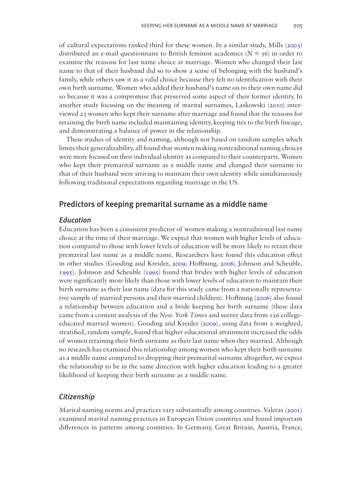<span id="page-3-1"></span>of cultural expectations ranked third for these women. In a similar study, Mills ([2003\)](#page-12-15) distributed an e-mail questionnaire to British feminist academics ( $N = 36$ ) in order to examine the reasons for last name choice at marriage. Women who changed their last name to that of their husband did so to show a sense of belonging with the husband's family, while others saw it as a valid choice because they felt no identification with their own birth surname. Women who added their husband's name on to their own name did so because it was a compromise that preserved some aspect of their former identity. In another study focusing on the meaning of marital surnames, Laskowski [\(2010](#page-12-16)) interviewed 23 women who kept their surname after marriage and found that the reasons for retaining the birth name included maintaining identity, keeping ties to the birth lineage, and demonstrating a balance of power in the relationship.

<span id="page-3-0"></span>These studies of identity and naming, although not based on random samples which limits their generalizability, all found that women making nontraditional naming choices were more focused on their individual identity as compared to their counterparts. Women who kept their premarital surname as a middle name and changed their surname to that of their husband were striving to maintain their own identity while simultaneously following traditional expectations regarding marriage in the US.

## Predictors of keeping premarital surname as a middle name

#### *Education*

Education has been a consistent predictor of women making a nontraditional last name choice at the time of their marriage. We expect that women with higher levels of education compared to those with lower levels of education will be more likely to retain their premarital last name as a middle name. Researchers have found this education effect in other studies (Gooding and Kreider, [2009;](#page-12-1) Hoffnung, [2006](#page-12-5); Johnson and Scheuble, [1995](#page-12-2)). Johnson and Scheuble ([1995\)](#page-12-2) found that brides with higher levels of education were significantly more likely than those with lower levels of education to maintain their birth surname as their last name (data for this study came from a nationally representative sample of married persons and their married children). Hoffnung ([2006](#page-12-5)) also found a relationship between education and a bride keeping her birth surname (these data came from a content analysis of the *New York Times* and survey data from 126 collegeeducated married women). Gooding and Kreider [\(2009](#page-12-1)), using data from a weighted, stratified, random sample, found that higher educational attainment increased the odds of women retaining their birth surname as their last name when they married. Although no research has examined this relationship among women who kept their birth surname as a middle name compared to dropping their premarital surname altogether, we expect the relationship to be in the same direction with higher education leading to a greater likelihood of keeping their birth surname as a middle name.

#### *Citizenship*

<span id="page-3-2"></span>Marital naming norms and practices vary substantially among countries. Valetas ([2001\)](#page-13-5) examined marital naming practices in European Union countries and found important differences in patterns among countries. In Germany, Great Britain, Austria, France,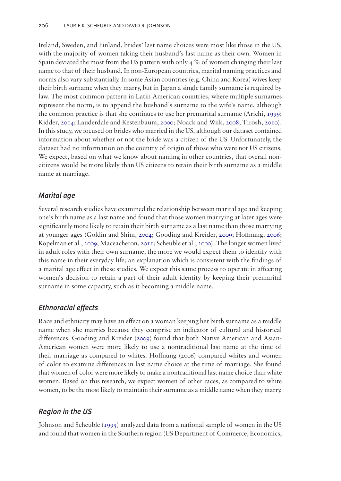<span id="page-4-0"></span>Ireland, Sweden, and Finland, brides' last name choices were most like those in the US, with the majority of women taking their husband's last name as their own. Women in Spain deviated the most from the US pattern with only 4 % of women changing their last name to that of their husband. In non-European countries, marital naming practices and norms also vary substantially. In some Asian countries (e.g. China and Korea) wives keep their birth surname when they marry, but in Japan a single family surname is required by law. The most common pattern in Latin American countries, where multiple surnames represent the norm, is to append the husband's surname to the wife's name, although the common practice is that she continues to use her premarital surname (Arichi, [1999](#page-12-17); Kidder, [2014](#page-12-18); Lauderdale and Kestenbaum, [2000](#page-12-12); Noack and Wiik, [2008;](#page-12-19) Tirosh, [2010](#page-13-6)). In this study, we focused on brides who married in the US, although our dataset contained information about whether or not the bride was a citizen of the US. Unfortunately, the dataset had no information on the country of origin of those who were not US citizens. We expect, based on what we know about naming in other countries, that overall noncitizens would be more likely than US citizens to retain their birth surname as a middle name at marriage.

## <span id="page-4-4"></span><span id="page-4-3"></span><span id="page-4-1"></span>*Marital age*

<span id="page-4-2"></span>Several research studies have examined the relationship between marital age and keeping one's birth name as a last name and found that those women marrying at later ages were significantly more likely to retain their birth surname as a last name than those marrying at younger ages (Goldin and Shim, [2004;](#page-12-4) Gooding and Kreider, [2009;](#page-12-1) Hoffnung, [2006](#page-12-5); Kopelman et al., [2009](#page-12-20); Maceacheron, [2011](#page-12-13); Scheuble et al., [2000\)](#page-13-1). The longer women lived in adult roles with their own surname, the more we would expect them to identify with this name in their everyday life; an explanation which is consistent with the findings of a marital age effect in these studies. We expect this same process to operate in affecting women's decision to retain a part of their adult identity by keeping their premarital surname in some capacity, such as it becoming a middle name.

#### *Ethnoracial effects*

Race and ethnicity may have an effect on a woman keeping her birth surname as a middle name when she marries because they comprise an indicator of cultural and historical differences. Gooding and Kreider ([2009\)](#page-12-1) found that both Native American and Asian-American women were more likely to use a nontraditional last name at the time of their marriage as compared to whites. Hoffnung (2006) compared whites and women of color to examine differences in last name choice at the time of marriage. She found that women of color were more likely to make a nontraditional last name choice than white women. Based on this research, we expect women of other races, as compared to white women, to be the most likely to maintain their surname as a middle name when they marry.

## *Region in the US*

Johnson and Scheuble ([1995](#page-12-2)) analyzed data from a national sample of women in the US and found that women in the Southern region (US Department of Commerce, Economics,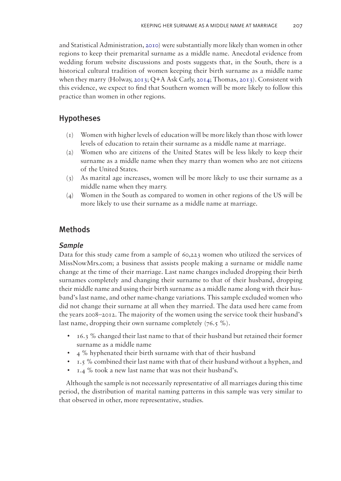<span id="page-5-2"></span><span id="page-5-0"></span>and Statistical Administration, [2010\)](#page-13-7) were substantially more likely than women in other regions to keep their premarital surname as a middle name. Anecdotal evidence from wedding forum website discussions and posts suggests that, in the South, there is a historical cultural tradition of women keeping their birth surname as a middle name when they marry (Holway, [2013](#page-12-21); Q+A Ask Carly, [2014](#page-12-9); Thomas, [2013\)](#page-13-8). Consistent with this evidence, we expect to find that Southern women will be more likely to follow this practice than women in other regions.

## Hypotheses

- <span id="page-5-1"></span>(1) Women with higher levels of education will be more likely than those with lower levels of education to retain their surname as a middle name at marriage.
- (2) Women who are citizens of the United States will be less likely to keep their surname as a middle name when they marry than women who are not citizens of the United States.
- (3) As marital age increases, women will be more likely to use their surname as a middle name when they marry.
- (4) Women in the South as compared to women in other regions of the US will be more likely to use their surname as a middle name at marriage.

## Methods

#### *Sample*

Data for this study came from a sample of 60,223 women who utilized the services of MissNowMrs.com; a business that assists people making a surname or middle name change at the time of their marriage. Last name changes included dropping their birth surnames completely and changing their surname to that of their husband, dropping their middle name and using their birth surname as a middle name along with their husband's last name, and other name-change variations. This sample excluded women who did not change their surname at all when they married. The data used here came from the years 2008–2012. The majority of the women using the service took their husband's last name, dropping their own surname completely  $(76.5 \%)$ .

- 16.3 % changed their last name to that of their husband but retained their former surname as a middle name
- 4 % hyphenated their birth surname with that of their husband
- 1.5 % combined their last name with that of their husband without a hyphen, and
- 1.4 % took a new last name that was not their husband's.

Although the sample is not necessarily representative of all marriages during this time period, the distribution of marital naming patterns in this sample was very similar to that observed in other, more representative, studies.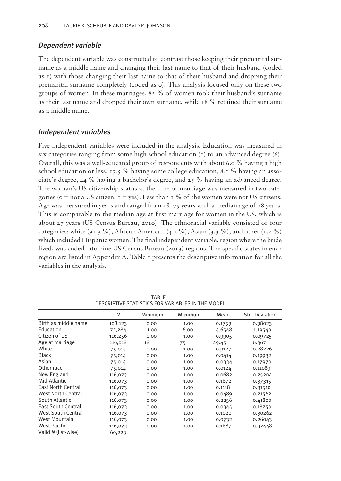## *Dependent variable*

The dependent variable was constructed to contrast those keeping their premarital surname as a middle name and changing their last name to that of their husband (coded as 1) with those changing their last name to that of their husband and dropping their premarital surname completely (coded as 0). This analysis focused only on these two groups of women. In these marriages, 82 % of women took their husband's surname as their last name and dropped their own surname, while 18 % retained their surname as a middle name.

## *Independent variables*

Five independent variables were included in the analysis. Education was measured in six categories ranging from some high school education  $(r)$  to an advanced degree  $(6)$ . Overall, this was a well-educated group of respondents with about 6.0 % having a high school education or less, 17.5 % having some college education, 8.0 % having an associate's degree, 44 % having a bachelor's degree, and 25 % having an advanced degree. The woman's US citizenship status at the time of marriage was measured in two categories ( $\circ$  = not a US citizen,  $I = \text{yes}$ ). Less than  $I\%$  of the women were not US citizens. Age was measured in years and ranged from 18–75 years with a median age of 28 years. This is comparable to the median age at first marriage for women in the US, which is about 27 years (US Census Bureau, 2010). The ethnoracial variable consisted of four categories: white (91.3 %), African American (4.1 %), Asian (3.3 %), and other (1.2 %) which included Hispanic women. The final independent variable, region where the bride lived, was coded into nine US Census Bureau (2013) regions. The specific states in each region are listed in Appendix A. Table [1](#page-6-0) presents the descriptive information for all the variables in the analysis.

| DEJUNI TIVE JIMIIJITUJ TUN VANIADLEJ IN TITE MUDEL |         |         |         |        |                |  |  |
|----------------------------------------------------|---------|---------|---------|--------|----------------|--|--|
|                                                    | N       | Minimum | Maximum | Mean   | Std. Deviation |  |  |
| Birth as middle name                               | 108,123 | 0.00    | 1.00    | 0.1753 | 0.38023        |  |  |
| Education                                          | 73,284  | 1.00    | 6.00    | 4.6548 | 1.19540        |  |  |
| Citizen of US                                      | 116,256 | 0.00    | 1.00    | 0.9905 | 0.09725        |  |  |
| Age at marriage                                    | 116,018 | 18      | 75      | 29.45  | 6.367          |  |  |
| White                                              | 75,014  | 0.00    | 1.00    | 0.9127 | 0.28226        |  |  |
| <b>Black</b>                                       | 75,014  | 0.00    | 1.00    | 0.0414 | 0.19932        |  |  |
| Asian                                              | 75,014  | 0.00    | 1.00    | 0.0334 | 0.17970        |  |  |
| Other race                                         | 75,014  | 0.00    | 1.00    | 0.0124 | 0.11083        |  |  |
| New England                                        | 116,073 | 0.00    | 1.00    | 0.0682 | 0.25204        |  |  |
| Mid-Atlantic                                       | 116,073 | 0.00    | 1.00    | 0.1672 | 0.37315        |  |  |
| <b>East North Central</b>                          | 116,073 | 0.00    | 1.00    | 0.1118 | 0.31510        |  |  |
| <b>West North Central</b>                          | 116,073 | 0.00    | 1.00    | 0.0489 | 0.21562        |  |  |
| South Atlantic                                     | 116,073 | 0.00    | 1.00    | 0.2256 | 0.41800        |  |  |
| <b>East South Central</b>                          | 116,073 | 0.00    | 1.00    | 0.0345 | 0.18250        |  |  |
| <b>West South Central</b>                          | 116,073 | 0.00    | 1.00    | 0.1020 | 0.30262        |  |  |
| <b>West Mountain</b>                               | 116,073 | 0.00    | 1.00    | 0.0732 | 0.26043        |  |  |
| West Pacific                                       | 116,073 | 0.00    | 1.00    | 0.1687 | 0.37448        |  |  |
| Valid N (list-wise)                                | 60,223  |         |         |        |                |  |  |

<span id="page-6-0"></span>TABLE 1 DESCRIPTIVE STATISTICS FOR VARIABLES IN THE MODEL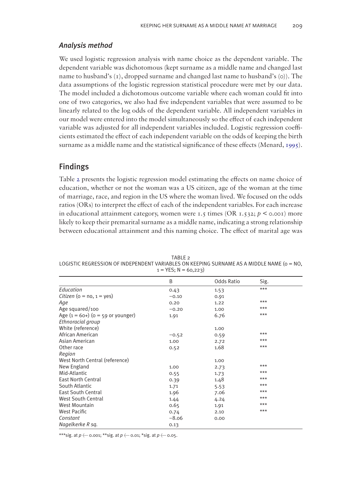## *Analysis method*

We used logistic regression analysis with name choice as the dependent variable. The dependent variable was dichotomous (kept surname as a middle name and changed last name to husband's  $(i)$ , dropped surname and changed last name to husband's  $(o)$ ). The data assumptions of the logistic regression statistical procedure were met by our data. The model included a dichotomous outcome variable where each woman could fit into one of two categories, we also had five independent variables that were assumed to be linearly related to the log odds of the dependent variable. All independent variables in our model were entered into the model simultaneously so the effect of each independent variable was adjusted for all independent variables included. Logistic regression coefficients estimated the effect of each independent variable on the odds of keeping the birth surname as a middle name and the statistical significance of these effects (Menard, [1995](#page-12-22)).

## <span id="page-7-1"></span>Findings

Table [2](#page-7-0) presents the logistic regression model estimating the effects on name choice of education, whether or not the woman was a US citizen, age of the woman at the time of marriage, race, and region in the US where the woman lived. We focused on the odds ratios (ORs) to interpret the effect of each of the independent variables. For each increase in educational attainment category, women were 1.5 times (OR 1.532;  $p \le 0.001$ ) more likely to keep their premarital surname as a middle name, indicating a strong relationship between educational attainment and this naming choice. The effect of marital age was

<span id="page-7-0"></span>TABLE 2 LOGISTIC REGRESSION OF INDEPENDENT VARIABLES ON KEEPING SURNAME AS A MIDDLE NAME ( $o = NO$ ,  $1 =$  YES; N = 60,223)

|                                       | B       | Odds Ratio | Sig.  |  |
|---------------------------------------|---------|------------|-------|--|
| Education                             | 0.43    | 1.53       | $***$ |  |
| Citizen (o = $no, 1 = ves$ )          | $-0.10$ | 0.91       |       |  |
| Aqe                                   | 0.20    | 1.22       | $***$ |  |
| Age squared/100                       | $-0.20$ | 1.00       | $***$ |  |
| Age $(1 = 60+)$ $(0 = 59$ or younger) | 1.91    | 6.76       | $***$ |  |
| Ethnoracial group                     |         |            |       |  |
| White (reference)                     |         | 1.00       |       |  |
| African American                      | $-0.52$ | 0.59       | $***$ |  |
| Asian American                        | 1.00    | 2.72       | $***$ |  |
| Other race                            | 0.52    | 1.68       | $***$ |  |
| Region                                |         |            |       |  |
| West North Central (reference)        |         | 1.00       |       |  |
| New England                           | 1.00    | 2.73       | $***$ |  |
| Mid-Atlantic                          | 0.55    | 1.73       | $***$ |  |
| <b>East North Central</b>             | 0.39    | 1.48       | $***$ |  |
| South Atlantic                        | 1.71    | 5.53       | $***$ |  |
| <b>East South Central</b>             | 1.96    | 7.06       | $***$ |  |
| <b>West South Central</b>             | 1.44    | 4.24       | $***$ |  |
| <b>West Mountain</b>                  | 0.65    | 1.91       | $***$ |  |
| <b>West Pacific</b>                   | 0.74    | 2.10       | $***$ |  |
| Constant                              | $-8.06$ | 0.00       |       |  |
| Nagelkerke R sq.                      | 0.13    |            |       |  |
|                                       |         |            |       |  |

\*\*\*sig. at  $p \leftarrow$  0.001; \*\*sig. at  $p \leftarrow$  0.01; \*sig. at  $p \leftarrow$  0.05.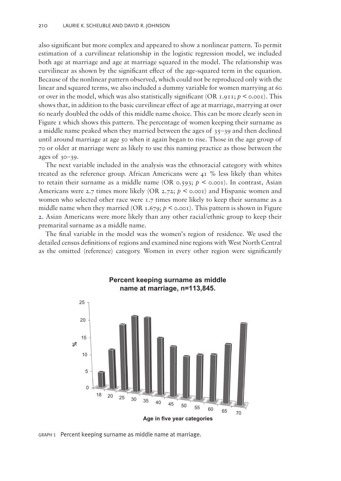also significant but more complex and appeared to show a nonlinear pattern. To permit estimation of a curvilinear relationship in the logistic regression model, we included both age at marriage and age at marriage squared in the model. The relationship was curvilinear as shown by the significant effect of the age-squared term in the equation. Because of the nonlinear pattern observed, which could not be reproduced only with the linear and squared terms, we also included a dummy variable for women marrying at 60 or over in the model, which was also statistically significant (OR  $1.911$ ;  $p < 0.001$ ). This shows that, in addition to the basic curvilinear effect of age at marriage, marrying at over 60 nearly doubled the odds of this middle name choice. This can be more clearly seen in Figure [1](#page-8-0) which shows this pattern. The percentage of women keeping their surname as a middle name peaked when they married between the ages of  $35-39$  and then declined until around marriage at age 50 when it again began to rise. Those in the age group of 70 or older at marriage were as likely to use this naming practice as those between the ages of 30–39.

The next variable included in the analysis was the ethnoracial category with whites treated as the reference group. African Americans were 41 % less likely than whites to retain their surname as a middle name (OR  $\circ$ , 593;  $p \leq \circ \circ \circ$ ). In contrast, Asian Americans were 2.7 times more likely (OR 2.72;  $p \le 0.001$ ) and Hispanic women and women who selected other race were 1.7 times more likely to keep their surname as a middle name when they married (OR  $1.679$ ;  $p <$  0.001). This pattern is shown in Figure [2.](#page-9-0) Asian Americans were more likely than any other racial/ethnic group to keep their premarital surname as a middle name.

The final variable in the model was the women's region of residence. We used the detailed census definitions of regions and examined nine regions with West North Central as the omitted (reference) category. Women in every other region were significantly



<span id="page-8-0"></span>GRAPH 1 Percent keeping surname as middle name at marriage.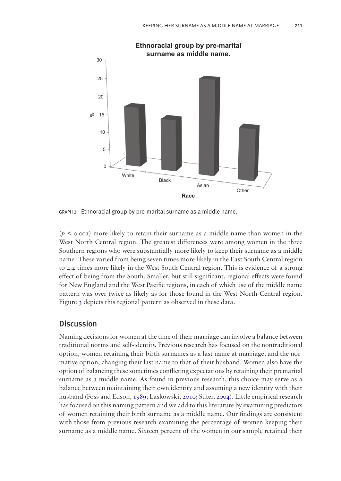

<span id="page-9-0"></span>GRAPH 2 Ethnoracial group by pre-marital surname as a middle name.

 $(p \leq 0.001)$  more likely to retain their surname as a middle name than women in the West North Central region. The greatest differences were among women in the three Southern regions who were substantially more likely to keep their surname as a middle name. These varied from being seven times more likely in the East South Central region to 4.2 times more likely in the West South Central region. This is evidence of a strong effect of being from the South. Smaller, but still significant, regional effects were found for New England and the West Pacific regions, in each of which use of the middle name pattern was over twice as likely as for those found in the West North Central region. Figure [3](#page-10-0) depicts this regional pattern as observed in these data.

## **Discussion**

<span id="page-9-1"></span>Naming decisions for women at the time of their marriage can involve a balance between traditional norms and self-identity. Previous research has focused on the nontraditional option, women retaining their birth surnames as a last name at marriage, and the normative option, changing their last name to that of their husband. Women also have the option of balancing these sometimes conflicting expectations by retaining their premarital surname as a middle name. As found in previous research, this choice may serve as a balance between maintaining their own identity and assuming a new identity with their husband (Foss and Edson, [1989;](#page-12-14) Laskowski, [2010;](#page-12-16) Suter, [2004](#page-13-9)). Little empirical research has focused on this naming pattern and we add to this literature by examining predictors of women retaining their birth surname as a middle name. Our findings are consistent with those from previous research examining the percentage of women keeping their surname as a middle name. Sixteen percent of the women in our sample retained their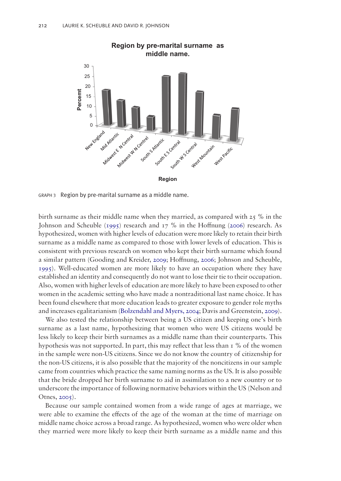

<span id="page-10-0"></span>GRAPH 3 Region by pre-marital surname as a middle name.

birth surname as their middle name when they married, as compared with  $25\%$  in the Johnson and Scheuble [\(1995](#page-12-2)) research and 17 % in the Hoffnung [\(2006](#page-12-5)) research. As hypothesized, women with higher levels of education were more likely to retain their birth surname as a middle name as compared to those with lower levels of education. This is consistent with previous research on women who kept their birth surname which found a similar pattern (Gooding and Kreider, [2009;](#page-12-1) Hoffnung, [2006](#page-12-5); Johnson and Scheuble, [1995](#page-12-2)). Well-educated women are more likely to have an occupation where they have established an identity and consequently do not want to lose their tie to their occupation. Also, women with higher levels of education are more likely to have been exposed to other women in the academic setting who have made a nontraditional last name choice. It has been found elsewhere that more education leads to greater exposure to gender role myths and increases egalitarianism [\(Bolzendahl and Myers, 2004](#page-12-10); Davis and Greenstein, [2009](#page-12-23)).

<span id="page-10-1"></span>We also tested the relationship between being a US citizen and keeping one's birth surname as a last name, hypothesizing that women who were US citizens would be less likely to keep their birth surnames as a middle name than their counterparts. This hypothesis was not supported. In part, this may reflect that less than  $\tau$  % of the women in the sample were non-US citizens. Since we do not know the country of citizenship for the non-US citizens, it is also possible that the majority of the noncitizens in our sample came from countries which practice the same naming norms as the US. It is also possible that the bride dropped her birth surname to aid in assimilation to a new country or to underscore the importance of following normative behaviors within the US (Nelson and Otnes, [2005\)](#page-12-24).

<span id="page-10-2"></span>Because our sample contained women from a wide range of ages at marriage, we were able to examine the effects of the age of the woman at the time of marriage on middle name choice across a broad range. As hypothesized, women who were older when they married were more likely to keep their birth surname as a middle name and this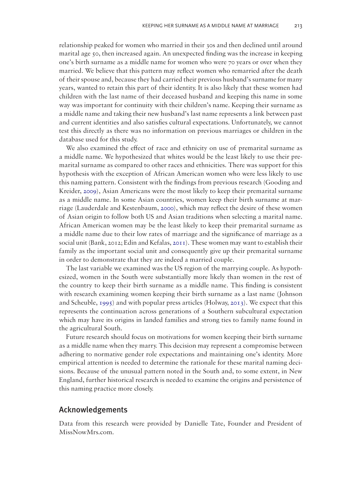relationship peaked for women who married in their 30s and then declined until around marital age 50, then increased again. An unexpected finding was the increase in keeping one's birth surname as a middle name for women who were 70 years or over when they married. We believe that this pattern may reflect women who remarried after the death of their spouse and, because they had carried their previous husband's surname for many years, wanted to retain this part of their identity. It is also likely that these women had children with the last name of their deceased husband and keeping this name in some way was important for continuity with their children's name. Keeping their surname as a middle name and taking their new husband's last name represents a link between past and current identities and also satisfies cultural expectations. Unfortunately, we cannot test this directly as there was no information on previous marriages or children in the database used for this study.

We also examined the effect of race and ethnicity on use of premarital surname as a middle name. We hypothesized that whites would be the least likely to use their premarital surname as compared to other races and ethnicities. There was support for this hypothesis with the exception of African American women who were less likely to use this naming pattern. Consistent with the findings from previous research (Gooding and Kreider, [2009](#page-12-1)), Asian Americans were the most likely to keep their premarital surname as a middle name. In some Asian countries, women keep their birth surname at marriage (Lauderdale and Kestenbaum, [2000\)](#page-12-12), which may reflect the desire of these women of Asian origin to follow both US and Asian traditions when selecting a marital name. African American women may be the least likely to keep their premarital surname as a middle name due to their low rates of marriage and the significance of marriage as a social unit (Bank, 2012; Edin and Kefalas, [2011](#page-12-23)). These women may want to establish their family as the important social unit and consequently give up their premarital surname in order to demonstrate that they are indeed a married couple.

The last variable we examined was the US region of the marrying couple. As hypothesized, women in the South were substantially more likely than women in the rest of the country to keep their birth surname as a middle name. This finding is consistent with research examining women keeping their birth surname as a last name (Johnson and Scheuble, [1995](#page-12-2)) and with popular press articles (Holway, [2013](#page-12-21)). We expect that this represents the continuation across generations of a Southern subcultural expectation which may have its origins in landed families and strong ties to family name found in the agricultural South.

Future research should focus on motivations for women keeping their birth surname as a middle name when they marry. This decision may represent a compromise between adhering to normative gender role expectations and maintaining one's identity. More empirical attention is needed to determine the rationale for these marital naming decisions. Because of the unusual pattern noted in the South and, to some extent, in New England, further historical research is needed to examine the origins and persistence of this naming practice more closely.

## Acknowledgements

Data from this research were provided by Danielle Tate, Founder and President of MissNowMrs.com.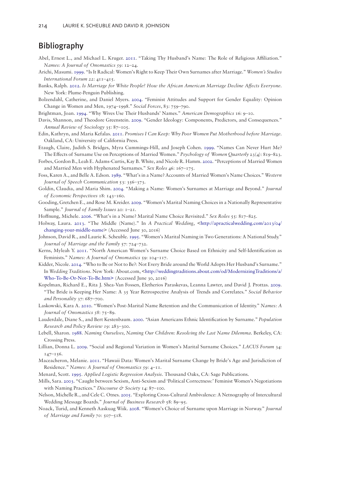## Bibliography

- <span id="page-12-3"></span>Abel, Ernest L., and Michael L. Kruger. [2011](#page-1-0). "Taking Thy Husband's Name: The Role of Religious Affiliation." *Names: A Journal of Onomastics 59*: 12–24.
- <span id="page-12-17"></span>Arichi, Masumi. [1999.](#page-4-0) "Is It Radical: Women's Right to Keep Their Own Surnames after Marriage." *Women's Studies International Forum 22*: 411–415.
- <span id="page-12-10"></span>Banks, Ralph. [2012.](#page-2-0) *Is Marriage for White People? How the African American Marriage Decline Affects Everyone*. New York: Plume-Penguin Publishing.
- Bolzendahl, Catherine, and Daniel Myers. 2004. "Feminist Attitudes and Support for Gender Equality: Opinion Change in Women and Men, 1974–1998." *Social Forces*, 83: 759–790.
- <span id="page-12-0"></span>Brightman, Joan. [1994](#page-0-0). "Why Wives Use Their Husbands' Names." *American Demographics* 16: 9–10.
- <span id="page-12-23"></span>Davis, Shannon, and Theodore Greenstein. [2009](#page-10-1). "Gender Ideology: Components, Predictors, and Consequences." *Annual Review of Sociology* 35: 87–105.
- <span id="page-12-7"></span>Edin, Kathryn, and Maria Kefalas. [2011](#page-1-1). *Promises I Can Keep: Why Poor Women Put Motherhood before Marriage*. Oakland, CA: University of California Press.
- <span id="page-12-8"></span>Etaugh, Claire, Judith S. Bridges, Myra Cummings-Hill, and Joseph Cohen. [1999.](#page-1-2) "Names Can Never Hurt Me? The Effects of Surname Use on Perceptions of Married Women." *Psychology of Women Quarterly* 23(4): 819–823.
- <span id="page-12-14"></span>Forbes, Gordon B., Leah E. Adams-Curtis, Kay B. White, and Nicole R. Hamm. [2002.](#page-2-1) "Perceptions of Married Women and Married Men with Hyphenated Surnames." *Sex Roles* 46: 167–175.
- <span id="page-12-4"></span>Foss, Karen A., and Belle A. Edson. [1989.](#page-1-3) "What's in a Name? Accounts of Married Women's Name Choices." *Western Journal of Speech Communication* 53: 356–373.
- <span id="page-12-1"></span>Goldin, Claudia, and Maria Shim. [2004.](#page-0-1) "Making a Name: Women's Surnames at Marriage and Beyond." *Journal of Economic Perspectives* 18: 143–160.
- <span id="page-12-5"></span>Gooding, Gretchen E., and Rose M. Kreider. [2009](#page-1-4). "Women's Marital Naming Choices in a Nationally Representative Sample." *Journal of Family Issues* 20: 1–21.
- <span id="page-12-21"></span>Hoffnung, Michele. [2006](#page-5-0). "What's in a Name? Marital Name Choice Revisited." *Sex Roles* 55: 817–825.

<span id="page-12-2"></span>Holway, Laura. [2013](#page-0-2). "The Middle (Name)." In *A Practical Wedding*, <[http://apracticalwedding.com/2013/04/](http://apracticalwedding.com/2013/04/changing-your-middle-name) [changing-your-middle-name>](http://apracticalwedding.com/2013/04/changing-your-middle-name) (Accessed June 30, 2016)

- <span id="page-12-6"></span>Johnson, David R., and Laurie K. Scheuble. [1995](#page-1-5). "Women's Marital Naming in Two Generations: A National Study." *Journal of Marriage and the Family* 57: 724–732.
- <span id="page-12-18"></span>Kerns, Myleah Y. [2011](#page-4-1). "North American Women's Surname Choice Based on Ethnicity and Self-Identification as Feminists." *Names: A Journal of Onomastics* 59: 104–117.
- <span id="page-12-20"></span>Kidder, Nicole. [2014.](#page-4-2) "Who to Be or Not to Be?: Not Every Bride around the World Adopts Her Husband's Surname." In *Wedding Traditions*. New York: About.com, [<http://weddingtraditions.about.com/od/ModernizingTraditions/a/](http://weddingtraditions.about.com/od/ModernizingTraditions/a/Who-To-Be-Or-Not-To-Be.htm>) [Who-To-Be-Or-Not-To-Be.htm>](http://weddingtraditions.about.com/od/ModernizingTraditions/a/Who-To-Be-Or-Not-To-Be.htm>) (Accessed June 30, 2016)
- <span id="page-12-16"></span>Kopelman, Richard E., Rita J. Shea-Van Fossen, Eletherios Paraskevas, Leanna Lawter, and David J. Prottas. [2009.](#page-3-0) "The Bride is Keeping Her Name: A 35 Year Retrospective Analysis of Trends and Correlates." *Social Behavior and Personality* 37: 687–700.
- <span id="page-12-12"></span>Laskowski, Kara A. [2010.](#page-2-2) "Women's Post-Marital Name Retention and the Communication of Identity." *Names: A Journal of Onomastics 58*: 75–89.
- Lauderdale, Diane S., and Bert Kestenbaum. 2000. "Asian Americans Ethnic Identification by Surname." *Population Research and Policy Review 19*: 283–300.
- <span id="page-12-11"></span>Lebell, Sharon. [1988.](#page-2-3) *Naming Ourselves, Naming Our Children: Resolving the Last Name Dilemma*. Berkeley, CA: Crossing Press.
- <span id="page-12-13"></span>Lillian, Donna L. [2009](#page-2-4). "Social and Regional Variation in Women's Marital Surname Choices." *LACUS Forum* 34: 147–156.
- <span id="page-12-22"></span>Maceacheron, Melanie. [2011.](#page-7-1) "Hawaii Data: Women's Marital Surname Change by Bride's Age and Jurisdiction of Residence." *Names: A Journal of Onomastics 59*: 4–11.
- <span id="page-12-15"></span>Menard, Scott. [1995](#page-3-1). *Applied Logistic Regression Analysis*. Thousand Oaks, CA: Sage Publications.
- <span id="page-12-24"></span>Mills, Sara. [2003.](#page-10-2) "Caught between Sexism, Anti-Sexism and 'Political Correctness:' Feminist Women's Negotiations with Naming Practices." *Discourse & Society* 14: 87–100.
- <span id="page-12-19"></span>Nelson, Michelle R., and Cele C. Otnes. [2005](#page-4-3). "Exploring Cross-Cultural Ambivalence: A Netnography of Intercultural Wedding Message Boards." *Journal of Business Research* 58: 89–95.
- <span id="page-12-9"></span>Noack, Turid, and Kenneth Aaskuag Wiik. [2008](#page-1-6). "Women's Choice of Surname upon Marriage in Norway." *Journal of Marriage and Family 70*: 507–518.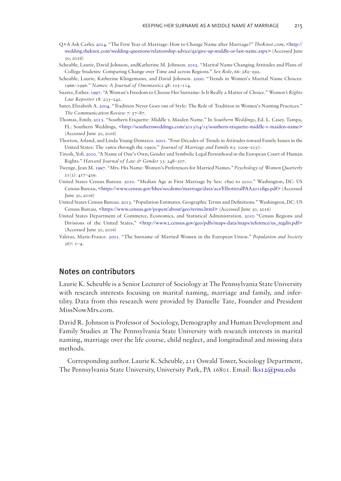- Q+A Ask Carley. 2014. "The First Year of Marriage: How to Change Name after Marriage?" *TheKnot.com*, [<http://](http://wedding.theknot.com/wedding-questions/relationship-advice/qa/give-up-middle-or-last-name.aspx) [wedding.theknot.com/wedding-questions/relationship-advice/qa/give-up-middle-or-last-name.aspx](http://wedding.theknot.com/wedding-questions/relationship-advice/qa/give-up-middle-or-last-name.aspx)> (Accessed June 30, 2016)
- Scheuble, Laurie, David Johnson, andKatherine M. Johnson. 2012. "Marital Name Changing Attitudes and Plans of College Students: Comparing Change over Time and across Regions." *Sex Role*, 66: 282–292.
- <span id="page-13-1"></span>Scheuble, Laurie, Katherine Klingemann, and David Johnson. [2000.](#page-1-7) "Trends in Women's Marital Name Choices: 1966–1996." *Names: A Journal of Onomastics* 48: 105–114.
- <span id="page-13-0"></span>Suarez, Esther. [1997](#page-1-8). "A Woman's Freedom to Choose Her Surname: Is It Really a Matter of Choice." *Women's Rights Law Reporter* 18: 233–242.
- <span id="page-13-9"></span>Suter, Elizabeth A. [2004.](#page-9-1) "Tradition Never Goes out of Style: The Role of Tradition in Women's Naming Practices." *The Communication Review* 7: 57–87.
- <span id="page-13-8"></span>Thomas, Emily. [2013](#page-5-1). "Southern Etiquette: Middle v. Maiden Name." In *Southern Weddings*, Ed. L. Casey. Tampa, FL: Southern Weddings, <<http://southernweddings.com/2013/04/15/southern-etiquette-middle-v-maiden-name>> (Accessed June 30, 2016)
- <span id="page-13-2"></span>Thorton, Arland, and Linda Young-Demarco. [2001.](#page-2-5) "Four Decades of Trends in Attitudes toward Family Issues in the United States: The 1960s through the 1990s." *Journal of Marriage and Family* 63: 1009–1037.
- <span id="page-13-6"></span>Tirosh, Yofi. [2010](#page-4-4). "A Name of One's Own; Gender and Symbolic Legal Personhood in the European Court of Human Rights." *Harvard Journal of Law & Gender* 33: 248–307.
- <span id="page-13-4"></span>Twenge, Jean M. [1997.](#page-2-6) "Mrs. His Name: Women's Preferences for Married Names." *Psychology of Women Quarterly*  $2I(3)$ :  $4I7-429$ .
- <span id="page-13-3"></span>United States Census Bureau. [2010](#page-2-7). "Median Age at First Marriage by Sex: 1890 to 2010." Washington, DC: US Census Bureau, [<https://www.census.gov/hhes/socdemo/marriage/data/acs/ElliottetalPAA2012figs.pdf>](https://www.census.gov/hhes/socdemo/marriage/data/acs/ElliottetalPAA2012figs.pdf) (Accessed June 30, 2016)
- United States Census Bureau. 2013. "Population Estimates. Geographic Terms and Definitions." Washington, DC: US Census Bureau, [<https://www.census.gov/popest/about/geo/terms.html>](https://www.census.gov/popest/about/geo/terms.html>) (Accessed June 30, 2016)
- <span id="page-13-7"></span>United States Department of Commerce, Economics, and Statistical Administration. [2010](#page-5-2) "Census Regions and Divisions of the United States," [<http://www2.census.gov/geo/pdfs/maps-data/maps/reference/us\\_regdiv.pdf](http://www2.census.gov/geo/pdfs/maps-data/maps/reference/us_regdiv.pdf)> (Accessed June 30, 2016)
- <span id="page-13-5"></span>Valetas, Marie-France. [2001.](#page-3-2) "The Surname of Married Women in the European Union." *Population and Society 367*: 1–4.

## Notes on contributors

Laurie K. Scheuble is a Senior Lecturer of Sociology at The Pennsylvania State University with research interests focusing on marital naming, marriage and family, and infertility. Data from this research were provided by Danielle Tate, Founder and President MissNowMrs.com.

David R. Johnson is Professor of Sociology, Demography and Human Development and Family Studies at The Pennsylvania State University with research interests in marital naming, marriage over the life course, child neglect, and longitudinal and missing data methods.

Corresponding author. Laurie K. Scheuble, 211 Oswald Tower, Sociology Department, The Pennsylvania State University, University Park, PA 16801. Email: [lks12@psu.edu](mailto:lks12@psu.edu)